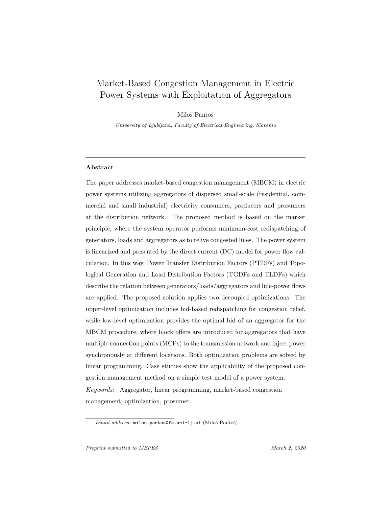# Market-Based Congestion Management in Electric Power Systems with Exploitation of Aggregators

Miloš Pantoš

University of Ljubljana, Faculty of Electrical Engineering, Slovenia

#### Abstract

The paper addresses market-based congestion management (MBCM) in electric power systems utilizing aggregators of dispersed small-scale (residential, commercial and small industrial) electricity consumers, producers and prosumers at the distribution network. The proposed method is based on the market principle, where the system operator performs minimum-cost redispatching of generators, loads and aggregators as to relive congested lines. The power system is linearized and presented by the direct current (DC) model for power flow calculation. In this way, Power Transfer Distribution Factors (PTDFs) and Topological Generation and Load Distribution Factors (TGDFs and TLDFs) which describe the relation between generators/loads/aggregators and line-power flows are applied. The proposed solution applies two decoupled optimizations. The upper-level optimization includes bid-based redispatching for congestion relief, while low-level optimization provides the optimal bid of an aggregator for the MBCM procedure, where block offers are introduced for aggregators that have multiple connection points (MCPs) to the transmission network and inject power synchronously at different locations. Both optimization problems are solved by linear programming. Case studies show the applicability of the proposed congestion management method on a simple test model of a power system. Keywords: Aggregator, linear programming, market-based congestion management, optimization, prosumer.

Email address: milos.pantos@fe.uni-lj.si (Miloš Pantoš)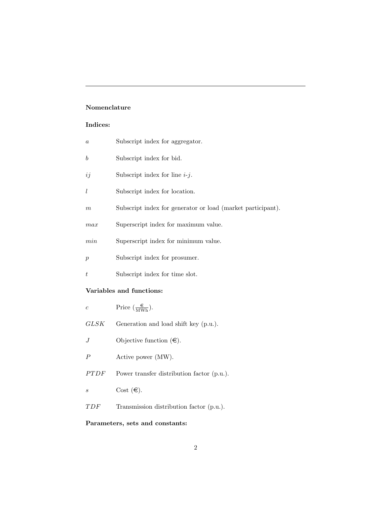## Nomenclature

# Indices:

| $\boldsymbol{a}$ | Subscript index for aggregator.                             |  |  |  |  |  |
|------------------|-------------------------------------------------------------|--|--|--|--|--|
| $\boldsymbol{b}$ | Subscript index for bid.                                    |  |  |  |  |  |
| ij               | Subscript index for line $i-j$ .                            |  |  |  |  |  |
| $\iota$          | Subscript index for location.                               |  |  |  |  |  |
| $\,m$            | Subscript index for generator or load (market participant). |  |  |  |  |  |
| max              | Superscript index for maximum value.                        |  |  |  |  |  |
| min              | Superscript index for minimum value.                        |  |  |  |  |  |
| $\boldsymbol{p}$ | Subscript index for prosumer.                               |  |  |  |  |  |
| t                | Subscript index for time slot.                              |  |  |  |  |  |
|                  | Variables and functions:                                    |  |  |  |  |  |
| $\boldsymbol{c}$ | Price $(\frac{\epsilon}{\text{MWh}})$ .                     |  |  |  |  |  |
| GLSK             | Generation and load shift key (p.u.).                       |  |  |  |  |  |
| J                | Objective function $(\epsilon)$ .                           |  |  |  |  |  |
| $\boldsymbol{P}$ | Active power (MW).                                          |  |  |  |  |  |
| PTDF             | Power transfer distribution factor (p.u.).                  |  |  |  |  |  |
| $\boldsymbol{s}$ | Cost $(\in)$ .                                              |  |  |  |  |  |
| TDF              | Transmission distribution factor (p.u.).                    |  |  |  |  |  |
|                  |                                                             |  |  |  |  |  |

# Parameters, sets and constants: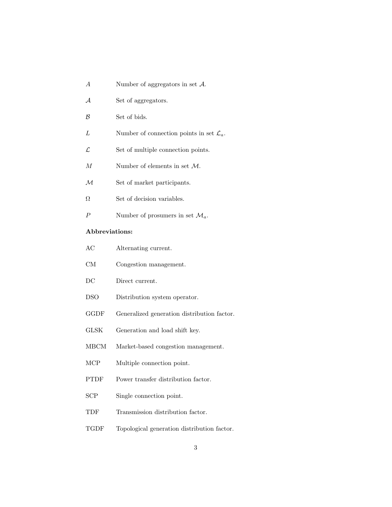- A Number of aggregators in set A.
- A Set of aggregators.
- B Set of bids.
- L Number of connection points in set  $\mathcal{L}_a$ .
- $\mathcal{L}$  Set of multiple connection points.
- $M$  Number of elements in set  $M$ .
- ${\mathcal M}$  Set of market participants.
- $\Omega$  Set of decision variables.
- P Number of prosumers in set  $\mathcal{M}_a$ .

## Abbreviations:

- AC Alternating current.
- CM Congestion management.
- DC Direct current.
- DSO Distribution system operator.
- GGDF Generalized generation distribution factor.
- GLSK Generation and load shift key.
- MBCM Market-based congestion management.
- MCP Multiple connection point.
- PTDF Power transfer distribution factor.
- SCP Single connection point.
- TDF Transmission distribution factor.
- TGDF Topological generation distribution factor.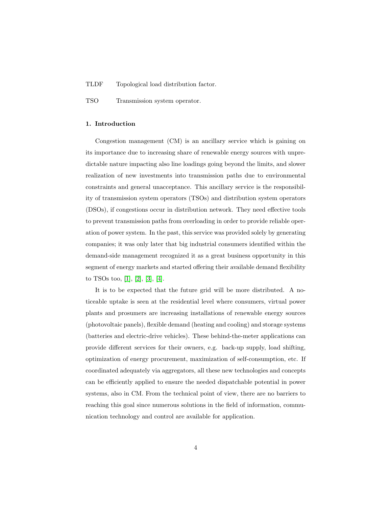#### TLDF Topological load distribution factor.

TSO Transmission system operator.

#### 1. Introduction

Congestion management (CM) is an ancillary service which is gaining on its importance due to increasing share of renewable energy sources with unpredictable nature impacting also line loadings going beyond the limits, and slower realization of new investments into transmission paths due to environmental constraints and general unacceptance. This ancillary service is the responsibility of transmission system operators (TSOs) and distribution system operators (DSOs), if congestions occur in distribution network. They need effective tools to prevent transmission paths from overloading in order to provide reliable operation of power system. In the past, this service was provided solely by generating companies; it was only later that big industrial consumers identified within the demand-side management recognized it as a great business opportunity in this segment of energy markets and started offering their available demand flexibility to TSOs too, [\[1\]](#page-24-0), [\[2\]](#page-24-1), [\[3\]](#page-24-2), [\[4\]](#page-24-3).

It is to be expected that the future grid will be more distributed. A noticeable uptake is seen at the residential level where consumers, virtual power plants and prosumers are increasing installations of renewable energy sources (photovoltaic panels), flexible demand (heating and cooling) and storage systems (batteries and electric-drive vehicles). These behind-the-meter applications can provide different services for their owners, e.g. back-up supply, load shifting, optimization of energy procurement, maximization of self-consumption, etc. If coordinated adequately via aggregators, all these new technologies and concepts can be efficiently applied to ensure the needed dispatchable potential in power systems, also in CM. From the technical point of view, there are no barriers to reaching this goal since numerous solutions in the field of information, communication technology and control are available for application.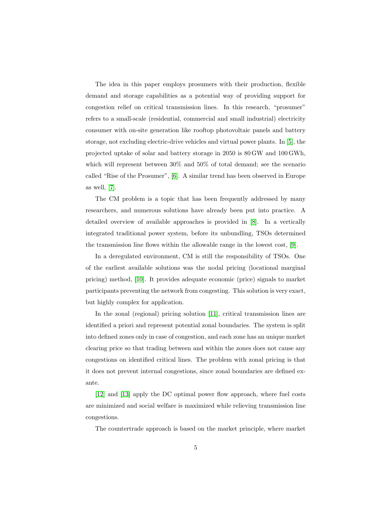The idea in this paper employs prosumers with their production, flexible demand and storage capabilities as a potential way of providing support for congestion relief on critical transmission lines. In this research, "prosumer" refers to a small-scale (residential, commercial and small industrial) electricity consumer with on-site generation like rooftop photovoltaic panels and battery storage, not excluding electric-drive vehicles and virtual power plants. In [\[5\]](#page-24-4), the projected uptake of solar and battery storage in 2050 is 80 GW and 100 GWh, which will represent between 30% and 50% of total demand; see the scenario called "Rise of the Prosumer", [\[6\]](#page-27-0). A similar trend has been observed in Europe as well, [\[7\]](#page-27-1).

The CM problem is a topic that has been frequently addressed by many researchers, and numerous solutions have already been put into practice. A detailed overview of available approaches is provided in [\[8\]](#page-27-2). In a vertically integrated traditional power system, before its unbundling, TSOs determined the transmission line flows within the allowable range in the lowest cost, [\[9\]](#page-27-3).

In a deregulated environment, CM is still the responsibility of TSOs. One of the earliest available solutions was the nodal pricing (locational marginal pricing) method, [\[10\]](#page-27-4). It provides adequate economic (price) signals to market participants preventing the network from congesting. This solution is very exact, but highly complex for application.

In the zonal (regional) pricing solution [\[11\]](#page-27-5), critical transmission lines are identified a priori and represent potential zonal boundaries. The system is split into defined zones only in case of congestion, and each zone has an unique market clearing price so that trading between and within the zones does not cause any congestions on identified critical lines. The problem with zonal pricing is that it does not prevent internal congestions, since zonal boundaries are defined exante.

[\[12\]](#page-27-6) and [\[13\]](#page-28-0) apply the DC optimal power flow approach, where fuel costs are minimized and social welfare is maximized while relieving transmission line congestions.

The countertrade approach is based on the market principle, where market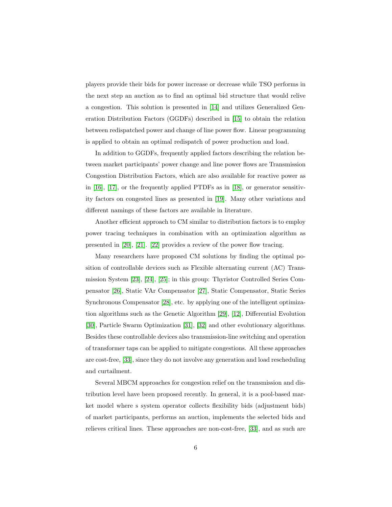players provide their bids for power increase or decrease while TSO performs in the next step an auction as to find an optimal bid structure that would relive a congestion. This solution is presented in [\[14\]](#page-28-1) and utilizes Generalized Generation Distribution Factors (GGDFs) described in [\[15\]](#page-28-2) to obtain the relation between redispatched power and change of line power flow. Linear programming is applied to obtain an optimal redispatch of power production and load.

In addition to GGDFs, frequently applied factors describing the relation between market participants' power change and line power flows are Transmission Congestion Distribution Factors, which are also available for reactive power as in  $[16]$ ,  $[17]$ , or the frequently applied PTDFs as in  $[18]$ , or generator sensitivity factors on congested lines as presented in [\[19\]](#page-28-6). Many other variations and different namings of these factors are available in literature.

Another efficient approach to CM similar to distribution factors is to employ power tracing techniques in combination with an optimization algorithm as presented in [\[20\]](#page-29-0), [\[21\]](#page-29-1). [\[22\]](#page-29-2) provides a review of the power flow tracing.

Many researchers have proposed CM solutions by finding the optimal position of controllable devices such as Flexible alternating current (AC) Transmission System [\[23\]](#page-29-3), [\[24\]](#page-29-4), [\[25\]](#page-29-5); in this group: Thyristor Controlled Series Compensator [\[26\]](#page-30-0), Static VAr Compensator [\[27\]](#page-30-1), Static Compensator, Static Series Synchronous Compensator [\[28\]](#page-30-2), etc. by applying one of the intelligent optimization algorithms such as the Genetic Algorithm [\[29\]](#page-30-3), [\[12\]](#page-27-6), Differential Evolution [\[30\]](#page-30-4), Particle Swarm Optimization [\[31\]](#page-30-5), [\[32\]](#page-31-0) and other evolutionary algorithms. Besides these controllable devices also transmission-line switching and operation of transformer taps can be applied to mitigate congestions. All these approaches are cost-free, [\[33\]](#page-31-1), since they do not involve any generation and load rescheduling and curtailment.

Several MBCM approaches for congestion relief on the transmission and distribution level have been proposed recently. In general, it is a pool-based market model where s system operator collects flexibility bids (adjustment bids) of market participants, performs an auction, implements the selected bids and relieves critical lines. These approaches are non-cost-free, [\[33\]](#page-31-1), and as such are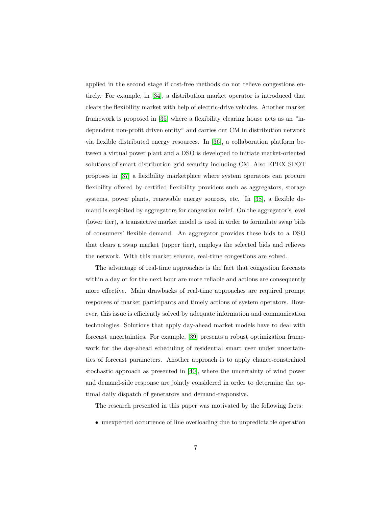applied in the second stage if cost-free methods do not relieve congestions entirely. For example, in [\[34\]](#page-31-2), a distribution market operator is introduced that clears the flexibility market with help of electric-drive vehicles. Another market framework is proposed in [\[35\]](#page-31-3) where a flexibility clearing house acts as an "independent non-profit driven entity" and carries out CM in distribution network via flexible distributed energy resources. In [\[36\]](#page-31-4), a collaboration platform between a virtual power plant and a DSO is developed to initiate market-oriented solutions of smart distribution grid security including CM. Also EPEX SPOT proposes in [\[37\]](#page-31-5) a flexibility marketplace where system operators can procure flexibility offered by certified flexibility providers such as aggregators, storage systems, power plants, renewable energy sources, etc. In [\[38\]](#page-32-0), a flexible demand is exploited by aggregators for congestion relief. On the aggregator's level (lower tier), a transactive market model is used in order to formulate swap bids of consumers' flexible demand. An aggregator provides these bids to a DSO that clears a swap market (upper tier), employs the selected bids and relieves the network. With this market scheme, real-time congestions are solved.

The advantage of real-time approaches is the fact that congestion forecasts within a day or for the next hour are more reliable and actions are consequently more effective. Main drawbacks of real-time approaches are required prompt responses of market participants and timely actions of system operators. However, this issue is efficiently solved by adequate information and communication technologies. Solutions that apply day-ahead market models have to deal with forecast uncertainties. For example, [\[39\]](#page-32-1) presents a robust optimization framework for the day-ahead scheduling of residential smart user under uncertainties of forecast parameters. Another approach is to apply chance-constrained stochastic approach as presented in [\[40\]](#page-32-2), where the uncertainty of wind power and demand-side response are jointly considered in order to determine the optimal daily dispatch of generators and demand-responsive.

The research presented in this paper was motivated by the following facts:

• unexpected occurrence of line overloading due to unpredictable operation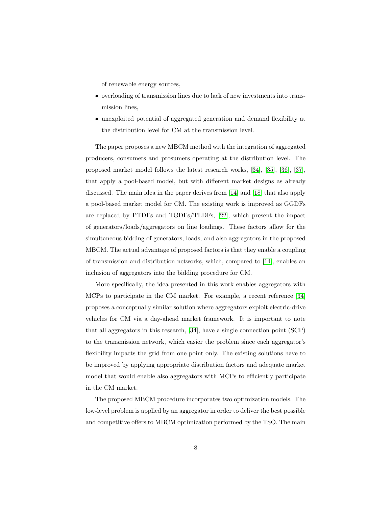of renewable energy sources,

- overloading of transmission lines due to lack of new investments into transmission lines,
- unexploited potential of aggregated generation and demand flexibility at the distribution level for CM at the transmission level.

The paper proposes a new MBCM method with the integration of aggregated producers, consumers and prosumers operating at the distribution level. The proposed market model follows the latest research works, [\[34\]](#page-31-2), [\[35\]](#page-31-3), [\[36\]](#page-31-4), [\[37\]](#page-31-5), that apply a pool-based model, but with different market designs as already discussed. The main idea in the paper derives from [\[14\]](#page-28-1) and [\[18\]](#page-28-5) that also apply a pool-based market model for CM. The existing work is improved as GGDFs are replaced by PTDFs and TGDFs/TLDFs, [\[22\]](#page-29-2), which present the impact of generators/loads/aggregators on line loadings. These factors allow for the simultaneous bidding of generators, loads, and also aggregators in the proposed MBCM. The actual advantage of proposed factors is that they enable a coupling of transmission and distribution networks, which, compared to [\[14\]](#page-28-1), enables an inclusion of aggregators into the bidding procedure for CM.

More specifically, the idea presented in this work enables aggregators with MCPs to participate in the CM market. For example, a recent reference [\[34\]](#page-31-2) proposes a conceptually similar solution where aggregators exploit electric-drive vehicles for CM via a day-ahead market framework. It is important to note that all aggregators in this research, [\[34\]](#page-31-2), have a single connection point (SCP) to the transmission network, which easier the problem since each aggregator's flexibility impacts the grid from one point only. The existing solutions have to be improved by applying appropriate distribution factors and adequate market model that would enable also aggregators with MCPs to efficiently participate in the CM market.

The proposed MBCM procedure incorporates two optimization models. The low-level problem is applied by an aggregator in order to deliver the best possible and competitive offers to MBCM optimization performed by the TSO. The main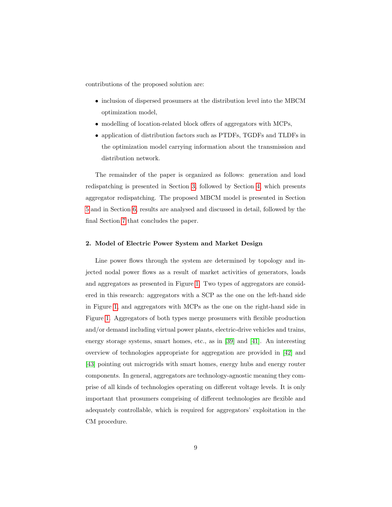contributions of the proposed solution are:

- inclusion of dispersed prosumers at the distribution level into the MBCM optimization model,
- modelling of location-related block offers of aggregators with MCPs,
- application of distribution factors such as PTDFs, TGDFs and TLDFs in the optimization model carrying information about the transmission and distribution network.

The remainder of the paper is organized as follows: generation and load redispatching is presented in Section [3,](#page-10-0) followed by Section [4,](#page-12-0) which presents aggregator redispatching. The proposed MBCM model is presented in Section [5](#page-16-0) and in Section [6,](#page-18-0) results are analysed and discussed in detail, followed by the final Section [7](#page-22-0) that concludes the paper.

#### 2. Model of Electric Power System and Market Design

Line power flows through the system are determined by topology and injected nodal power flows as a result of market activities of generators, loads and aggregators as presented in Figure [1.](#page-9-0) Two types of aggregators are considered in this research: aggregators with a SCP as the one on the left-hand side in Figure [1,](#page-9-0) and aggregators with MCPs as the one on the right-hand side in Figure [1.](#page-9-0) Aggregators of both types merge prosumers with flexible production and/or demand including virtual power plants, electric-drive vehicles and trains, energy storage systems, smart homes, etc., as in [\[39\]](#page-32-1) and [\[41\]](#page-32-3). An interesting overview of technologies appropriate for aggregation are provided in [\[42\]](#page-32-4) and [\[43\]](#page-32-5) pointing out microgrids with smart homes, energy hubs and energy router components. In general, aggregators are technology-agnostic meaning they comprise of all kinds of technologies operating on different voltage levels. It is only important that prosumers comprising of different technologies are flexible and adequately controllable, which is required for aggregators' exploitation in the CM procedure.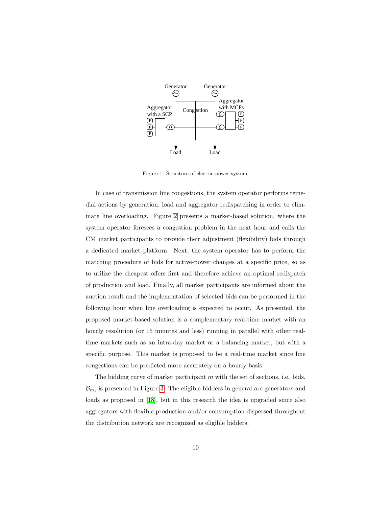

<span id="page-9-0"></span>Figure 1: Structure of electric power system.

In case of transmission line congestions, the system operator performs remedial actions by generation, load and aggregator redispatching in order to eliminate line overloading. Figure [2](#page-10-1) presents a market-based solution, where the system operator foresees a congestion problem in the next hour and calls the CM market participants to provide their adjustment (flexibility) bids through a dedicated market platform. Next, the system operator has to perform the matching procedure of bids for active-power changes at a specific price, so as to utilize the cheapest offers first and therefore achieve an optimal redispatch of production and load. Finally, all market participants are informed about the auction result and the implementation of selected bids can be performed in the following hour when line overloading is expected to occur. As presented, the proposed market-based solution is a complementary real-time market with an hourly resolution (or 15 minutes and less) running in parallel with other realtime markets such as an intra-day market or a balancing market, but with a specific purpose. This market is proposed to be a real-time market since line congestions can be predicted more accurately on a hourly basis.

The bidding curve of market participant  $m$  with the set of sections, i.e. bids,  $\mathcal{B}_m$ , is presented in Figure [3.](#page-10-2) The eligible bidders in general are generators and loads as proposed in [\[18\]](#page-28-5), but in this research the idea is upgraded since also aggregators with flexible production and/or consumption dispersed throughout the distribution network are recognized as eligible bidders.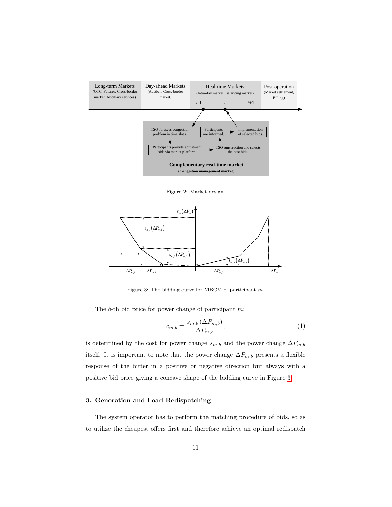

<span id="page-10-1"></span>Figure 2: Market design.



<span id="page-10-2"></span>Figure 3: The bidding curve for MBCM of participant m.

The b-th bid price for power change of participant m:

$$
c_{m,b} = \frac{s_{m,b} \left(\Delta P_{m,b}\right)}{\Delta P_{m,b}},\tag{1}
$$

is determined by the cost for power change  $s_{m,b}$  and the power change  $\Delta P_{m,b}$ itself. It is important to note that the power change  $\Delta P_{m,b}$  presents a flexible response of the bitter in a positive or negative direction but always with a positive bid price giving a concave shape of the bidding curve in Figure [3.](#page-10-2)

#### <span id="page-10-0"></span>3. Generation and Load Redispatching

The system operator has to perform the matching procedure of bids, so as to utilize the cheapest offers first and therefore achieve an optimal redispatch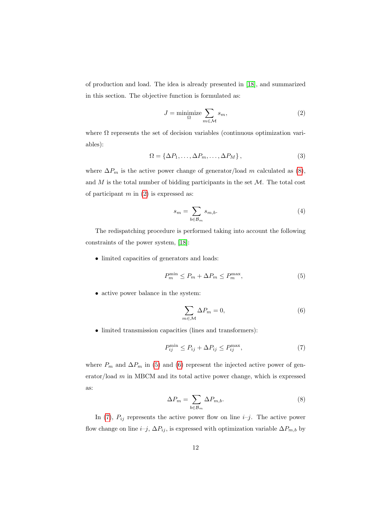of production and load. The idea is already presented in [\[18\]](#page-28-5), and summarized in this section. The objective function is formulated as:

<span id="page-11-1"></span>
$$
J = \underset{\Omega}{\text{minimize}} \sum_{m \in \mathcal{M}} s_m,\tag{2}
$$

where  $\Omega$  represents the set of decision variables (continuous optimization variables):

$$
\Omega = \{ \Delta P_1, \dots, \Delta P_m, \dots, \Delta P_M \},\tag{3}
$$

where  $\Delta P_m$  is the active power change of generator/load m calculated as [\(8\)](#page-11-0), and  $M$  is the total number of bidding participants in the set  $M$ . The total cost of participant  $m$  in  $(2)$  is expressed as:

$$
s_m = \sum_{b \in \mathcal{B}_m} s_{m,b}.\tag{4}
$$

The redispatching procedure is performed taking into account the following constraints of the power system, [\[18\]](#page-28-5):

• limited capacities of generators and loads:

<span id="page-11-2"></span>
$$
P_m^{\min} \le P_m + \Delta P_m \le P_m^{\max},\tag{5}
$$

• active power balance in the system:

<span id="page-11-4"></span><span id="page-11-3"></span>
$$
\sum_{m \in \mathcal{M}} \Delta P_m = 0,\tag{6}
$$

• limited transmission capacities (lines and transformers):

$$
P_{ij}^{\min} \le P_{ij} + \Delta P_{ij} \le P_{ij}^{\max},\tag{7}
$$

<span id="page-11-0"></span>where  $P_m$  and  $\Delta P_m$  in [\(5\)](#page-11-2) and [\(6\)](#page-11-3) represent the injected active power of generator/load m in MBCM and its total active power change, which is expressed as:

$$
\Delta P_m = \sum_{b \in \mathcal{B}_m} \Delta P_{m,b}.\tag{8}
$$

In [\(7\)](#page-11-4),  $P_{ij}$  represents the active power flow on line *i–j*. The active power flow change on line  $i-j$ ,  $\Delta P_{ij}$ , is expressed with optimization variable  $\Delta P_{m,b}$  by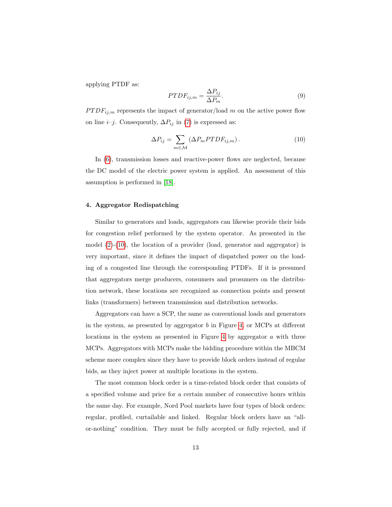applying PTDF as:

<span id="page-12-1"></span>
$$
PTDF_{ij,m} = \frac{\Delta P_{ij}}{\Delta P_m}.
$$
\n(9)

 $PTDF_{ij,m}$  represents the impact of generator/load m on the active power flow on line *i–j*. Consequently,  $\Delta P_{ij}$  in [\(7\)](#page-11-4) is expressed as:

$$
\Delta P_{ij} = \sum_{m \in \mathcal{M}} \left( \Delta P_m P T D F_{ij,m} \right). \tag{10}
$$

In [\(6\)](#page-11-3), transmission losses and reactive-power flows are neglected, because the DC model of the electric power system is applied. An assessment of this assumption is performed in [\[18\]](#page-28-5).

#### <span id="page-12-0"></span>4. Aggregator Redispatching

Similar to generators and loads, aggregators can likewise provide their bids for congestion relief performed by the system operator. As presented in the model  $(2)-(10)$  $(2)-(10)$  $(2)-(10)$ , the location of a provider (load, generator and aggregator) is very important, since it defines the impact of dispatched power on the loading of a congested line through the corresponding PTDFs. If it is presumed that aggregators merge producers, consumers and prosumers on the distribution network, these locations are recognized as connection points and present links (transformers) between transmission and distribution networks.

Aggregators can have a SCP, the same as conventional loads and generators in the system, as presented by aggregator b in Figure [4,](#page-13-0) or MCPs at different locations in the system as presented in Figure [4](#page-13-0) by aggregator  $a$  with three MCPs. Aggregators with MCPs make the bidding procedure within the MBCM scheme more complex since they have to provide block orders instead of regular bids, as they inject power at multiple locations in the system.

The most common block order is a time-related block order that consists of a specified volume and price for a certain number of consecutive hours within the same day. For example, Nord Pool markets have four types of block orders: regular, profiled, curtailable and linked. Regular block orders have an "allor-nothing" condition. They must be fully accepted or fully rejected, and if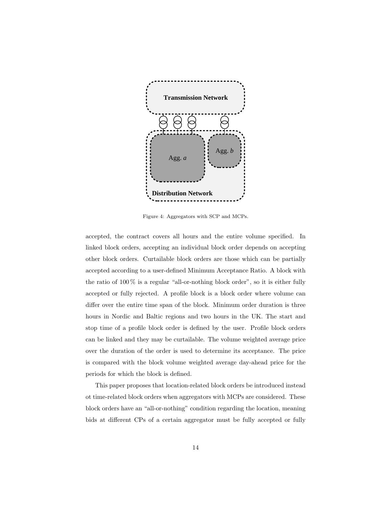

<span id="page-13-0"></span>Figure 4: Aggregators with SCP and MCPs.

accepted, the contract covers all hours and the entire volume specified. In linked block orders, accepting an individual block order depends on accepting other block orders. Curtailable block orders are those which can be partially accepted according to a user-defined Minimum Acceptance Ratio. A block with the ratio of  $100\%$  is a regular "all-or-nothing block order", so it is either fully accepted or fully rejected. A profile block is a block order where volume can differ over the entire time span of the block. Minimum order duration is three hours in Nordic and Baltic regions and two hours in the UK. The start and stop time of a profile block order is defined by the user. Profile block orders can be linked and they may be curtailable. The volume weighted average price over the duration of the order is used to determine its acceptance. The price is compared with the block volume weighted average day-ahead price for the periods for which the block is defined.

This paper proposes that location-related block orders be introduced instead ot time-related block orders when aggregators with MCPs are considered. These block orders have an "all-or-nothing" condition regarding the location, meaning bids at different CPs of a certain aggregator must be fully accepted or fully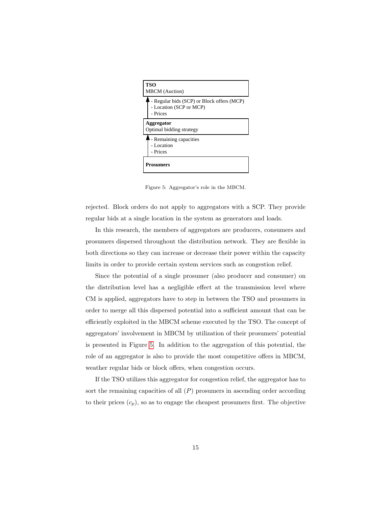

<span id="page-14-0"></span>Figure 5: Aggregator's role in the MBCM.

rejected. Block orders do not apply to aggregators with a SCP. They provide regular bids at a single location in the system as generators and loads.

In this research, the members of aggregators are producers, consumers and prosumers dispersed throughout the distribution network. They are flexible in both directions so they can increase or decrease their power within the capacity limits in order to provide certain system services such as congestion relief.

Since the potential of a single prosumer (also producer and consumer) on the distribution level has a negligible effect at the transmission level where CM is applied, aggregators have to step in between the TSO and prosumers in order to merge all this dispersed potential into a sufficient amount that can be efficiently exploited in the MBCM scheme executed by the TSO. The concept of aggregators' involvement in MBCM by utilization of their prosumers' potential is presented in Figure [5.](#page-14-0) In addition to the aggregation of this potential, the role of an aggregator is also to provide the most competitive offers in MBCM, weather regular bids or block offers, when congestion occurs.

If the TSO utilizes this aggregator for congestion relief, the aggregator has to sort the remaining capacities of all  $(P)$  prosumers in ascending order according to their prices  $(c_p)$ , so as to engage the cheapest prosumers first. The objective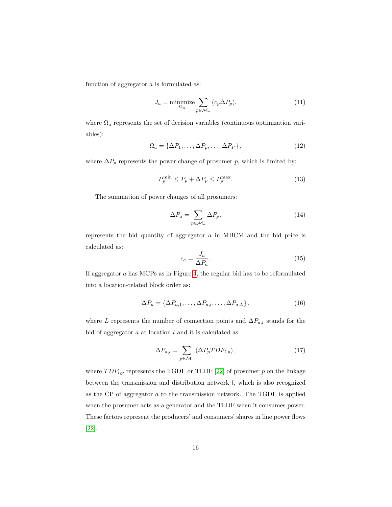function of aggregator  $a$  is formulated as:

<span id="page-15-1"></span>
$$
J_a = \underset{\Omega_a}{\text{minimize}} \sum_{p \in \mathcal{M}_a} (c_p \Delta P_p), \tag{11}
$$

where  $\Omega_a$  represents the set of decision variables (continuous optimization variables):

$$
\Omega_a = \{ \Delta P_1, \dots, \Delta P_p, \dots, \Delta P_P \},\tag{12}
$$

where  $\Delta P_p$  represents the power change of prosumer p, which is limited by:

$$
P_p^{\min} \le P_p + \Delta P_p \le P_p^{\max}.\tag{13}
$$

The summation of power changes of all prosumers:

$$
\Delta P_a = \sum_{p \in \mathcal{M}_a} \Delta P_p,\tag{14}
$$

<span id="page-15-3"></span>represents the bid quantity of aggregator a in MBCM and the bid price is calculated as:

<span id="page-15-0"></span>
$$
c_a = \frac{J_a}{\Delta P_a}.\tag{15}
$$

If aggregator a has MCPs as in Figure [4,](#page-13-0) the regular bid has to be reformulated into a location-related block order as:

$$
\Delta P_a = \{ \Delta P_{a,1}, \dots, \Delta P_{a,l}, \dots, \Delta P_{a,L} \},\tag{16}
$$

where L represents the number of connection points and  $\Delta P_{a,l}$  stands for the bid of aggregator  $a$  at location  $l$  and it is calculated as:

<span id="page-15-2"></span>
$$
\Delta P_{a,l} = \sum_{p \in \mathcal{M}_a} \left( \Delta P_p T D F_{l,p} \right),\tag{17}
$$

where  $TDF_{l,p}$  represents the TGDF or TLDF [\[22\]](#page-29-2) of prosumer p on the linkage between the transmission and distribution network  $l$ , which is also recognized as the CP of aggregator  $a$  to the transmission network. The TGDF is applied when the prosumer acts as a generator and the TLDF when it consumes power. These factors represent the producers' and consumers' shares in line power flows [\[22\]](#page-29-2).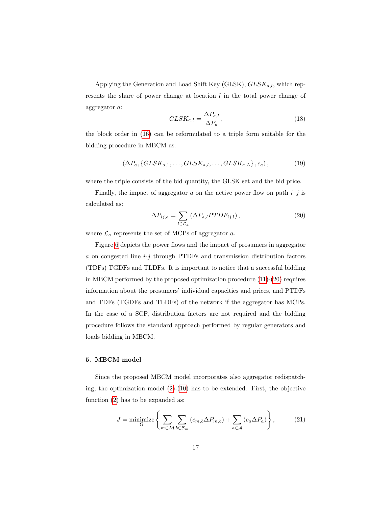Applying the Generation and Load Shift Key (GLSK),  $GLSK_{a,l}$ , which represents the share of power change at location  $l$  in the total power change of aggregator a:

<span id="page-16-2"></span>
$$
GLSK_{a,l} = \frac{\Delta P_{a,l}}{\Delta P_a},\tag{18}
$$

the block order in [\(16\)](#page-15-0) can be reformulated to a triple form suitable for the bidding procedure in MBCM as:

$$
\left(\Delta P_a, \left\{GLSK_{a,1},\ldots,GLSK_{a,l},\ldots,GLSK_{a,L}\right\}, c_a\right),\right.\tag{19}
$$

where the triple consists of the bid quantity, the GLSK set and the bid price.

Finally, the impact of aggregator a on the active power flow on path  $i-j$  is calculated as:

<span id="page-16-1"></span>
$$
\Delta P_{ij,a} = \sum_{l \in \mathcal{L}_a} \left( \Delta P_{a,l} P T D F_{ij,l} \right),\tag{20}
$$

where  $\mathcal{L}_a$  represents the set of MCPs of aggregator a.

Figure [6](#page-17-0) depicts the power flows and the impact of prosumers in aggregator a on congested line  $i-j$  through PTDFs and transmission distribution factors (TDFs) TGDFs and TLDFs. It is important to notice that a successful bidding in MBCM performed by the proposed optimization procedure [\(11\)](#page-15-1)-[\(20\)](#page-16-1) requires information about the prosumers' individual capacities and prices, and PTDFs and TDFs (TGDFs and TLDFs) of the network if the aggregator has MCPs. In the case of a SCP, distribution factors are not required and the bidding procedure follows the standard approach performed by regular generators and loads bidding in MBCM.

#### <span id="page-16-0"></span>5. MBCM model

Since the proposed MBCM model incorporates also aggregator redispatching, the optimization model  $(2)-(10)$  $(2)-(10)$  $(2)-(10)$  has to be extended. First, the objective function [\(2\)](#page-11-1) has to be expanded as:

$$
J = \underset{\Omega}{\text{minimize}} \left\{ \sum_{m \in \mathcal{M}} \sum_{b \in \mathcal{B}_m} \left( c_{m,b} \Delta P_{m,b} \right) + \sum_{a \in \mathcal{A}} \left( c_a \Delta P_a \right) \right\},\tag{21}
$$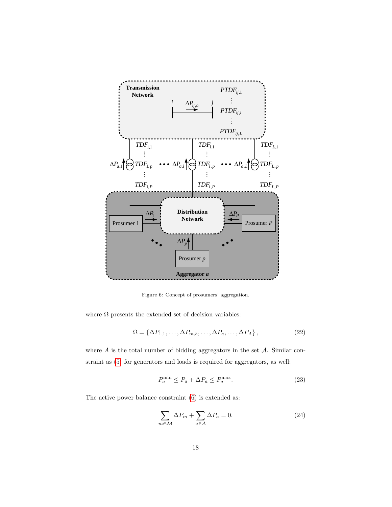

<span id="page-17-0"></span>Figure 6: Concept of prosumers' aggregation.

where  $\Omega$  presents the extended set of decision variables:

$$
\Omega = \left\{ \Delta P_{1,1}, \dots, \Delta P_{m,b}, \dots, \Delta P_a, \dots, \Delta P_A \right\},\tag{22}
$$

where  $A$  is the total number of bidding aggregators in the set  $A$ . Similar constraint as [\(5\)](#page-11-2) for generators and loads is required for aggregators, as well:

<span id="page-17-1"></span>
$$
P_a^{\min} \le P_a + \Delta P_a \le P_a^{\max}.\tag{23}
$$

The active power balance constraint [\(6\)](#page-11-3) is extended as:

$$
\sum_{m \in \mathcal{M}} \Delta P_m + \sum_{a \in \mathcal{A}} \Delta P_a = 0. \tag{24}
$$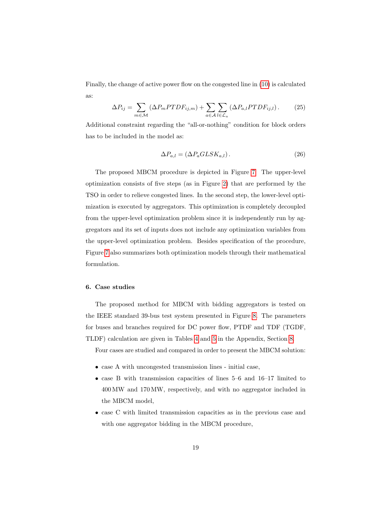Finally, the change of active power flow on the congested line in [\(10\)](#page-12-1) is calculated as:

$$
\Delta P_{ij} = \sum_{m \in \mathcal{M}} (\Delta P_m P T D F_{ij,m}) + \sum_{a \in \mathcal{A}} \sum_{l \in \mathcal{L}_a} (\Delta P_{a,l} P T D F_{ij,l}). \tag{25}
$$

Additional constraint regarding the "all-or-nothing" condition for block orders has to be included in the model as:

$$
\Delta P_{a,l} = (\Delta P_a GLSK_{a,l}).\tag{26}
$$

The proposed MBCM procedure is depicted in Figure [7.](#page-19-0) The upper-level optimization consists of five steps (as in Figure [2\)](#page-10-1) that are performed by the TSO in order to relieve congested lines. In the second step, the lower-level optimization is executed by aggregators. This optimization is completely decoupled from the upper-level optimization problem since it is independently run by aggregators and its set of inputs does not include any optimization variables from the upper-level optimization problem. Besides specification of the procedure, Figure [7](#page-19-0) also summarizes both optimization models through their mathematical formulation.

#### <span id="page-18-0"></span>6. Case studies

The proposed method for MBCM with bidding aggregators is tested on the IEEE standard 39-bus test system presented in Figure [8.](#page-21-0) The parameters for buses and branches required for DC power flow, PTDF and TDF (TGDF, TLDF) calculation are given in Tables [4](#page-25-0) and [5](#page-26-0) in the Appendix, Section [8.](#page-24-5)

Four cases are studied and compared in order to present the MBCM solution:

- case A with uncongested transmission lines initial case,
- case B with transmission capacities of lines 5–6 and 16–17 limited to 400 MW and 170 MW, respectively, and with no aggregator included in the MBCM model,
- case C with limited transmission capacities as in the previous case and with one aggregator bidding in the MBCM procedure,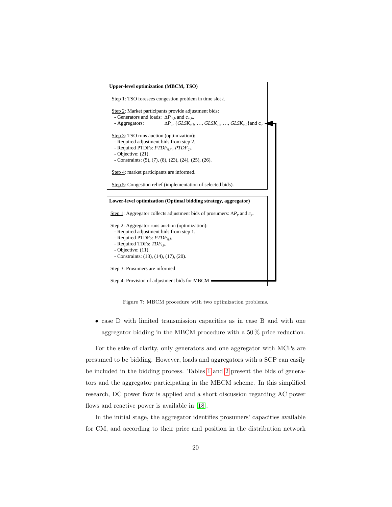

<span id="page-19-0"></span>Figure 7: MBCM procedure with two optimization problems.

• case D with limited transmission capacities as in case B and with one aggregator bidding in the MBCM procedure with a 50 % price reduction.

For the sake of clarity, only generators and one aggregator with MCPs are presumed to be bidding. However, loads and aggregators with a SCP can easily be included in the bidding process. Tables [1](#page-20-0) and [2](#page-20-1) present the bids of generators and the aggregator participating in the MBCM scheme. In this simplified research, DC power flow is applied and a short discussion regarding AC power flows and reactive power is available in [\[18\]](#page-28-5).

In the initial stage, the aggregator identifies prosumers' capacities available for CM, and according to their price and position in the distribution network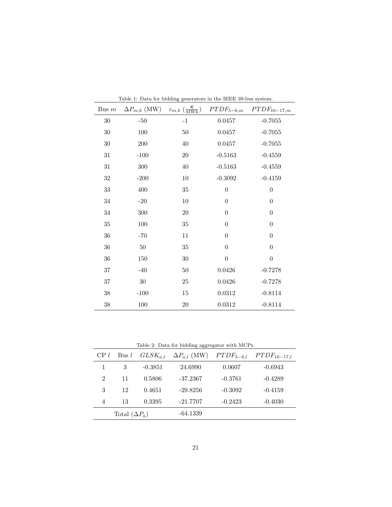<span id="page-20-0"></span>

| Table 1: Data for bidding generators in the IEEE 39-bus system. |                       |                                                      |                  |                  |  |  |
|-----------------------------------------------------------------|-----------------------|------------------------------------------------------|------------------|------------------|--|--|
| Bus $m$                                                         | $\Delta P_{m,b}$ (MW) | $c_{m,b}$ $\left(\frac{\epsilon}{\text{MWh}}\right)$ | $PTDF_{5-6,m}$   | $PTDF_{16-17,m}$ |  |  |
| 30                                                              | $-50$                 | $-1$                                                 | 0.0457           | $-0.7055$        |  |  |
| $30\,$                                                          | 100                   | 50                                                   | 0.0457           | $-0.7055$        |  |  |
| 30                                                              | 200                   | 40                                                   | 0.0457           | $-0.7055$        |  |  |
| 31                                                              | $-100$                | 20                                                   | $-0.5163$        | $-0.4559$        |  |  |
| 31                                                              | 300                   | 40                                                   | $-0.5163$        | $-0.4559$        |  |  |
| 32                                                              | $-200$                | 10                                                   | $-0.3092$        | $-0.4159$        |  |  |
| $33\,$                                                          | 400                   | 35                                                   | $\boldsymbol{0}$ | $\boldsymbol{0}$ |  |  |
| $34\,$                                                          | $-20$                 | 10                                                   | $\theta$         | $\theta$         |  |  |
| 34                                                              | 300                   | 20                                                   | $\theta$         | $\theta$         |  |  |
| 35                                                              | 100                   | 35                                                   | $\theta$         | $\theta$         |  |  |
| $36\,$                                                          | $-70$                 | 11                                                   | $\theta$         | $\theta$         |  |  |
| 36                                                              | 50                    | 35                                                   | $\Omega$         | $\overline{0}$   |  |  |
| 36                                                              | 150                   | 30                                                   | $\overline{0}$   | $\overline{0}$   |  |  |
| 37                                                              | $-40$                 | 50                                                   | 0.0426           | $-0.7278$        |  |  |
| 37                                                              | $30\,$                | 25                                                   | 0.0426           | $-0.7278$        |  |  |
| 38                                                              | $-100$                | 15                                                   | 0.0312           | $-0.8114$        |  |  |
| $38\,$                                                          | 100                   | $20\,$                                               | $\,0.0312\,$     | $-0.8114$        |  |  |

<span id="page-20-1"></span>Table 2: Data for bidding aggregator with MCPs.

| $CP$ l               | Bus $l$ | $GLSK_{a,l}$ | $\Delta P_{a,l}$ (MW) | $PTDF_{5-6,l}$ | $PTDF_{16-17,l}$ |
|----------------------|---------|--------------|-----------------------|----------------|------------------|
|                      | 3       | $-0.3851$    | 24.6990               | 0.0607         | $-0.6943$        |
| $\overline{2}$       | 11      | 0.5806       | $-37.2367$            | $-0.3761$      | $-0.4289$        |
| 3                    | 12      | 0.4651       | $-29.8256$            | $-0.3092$      | $-0.4159$        |
| 4                    | 13      | 0.3395       | $-21.7707$            | $-0.2423$      | $-0.4030$        |
| Total $(\Delta P_a)$ |         |              | $-64.1339$            |                |                  |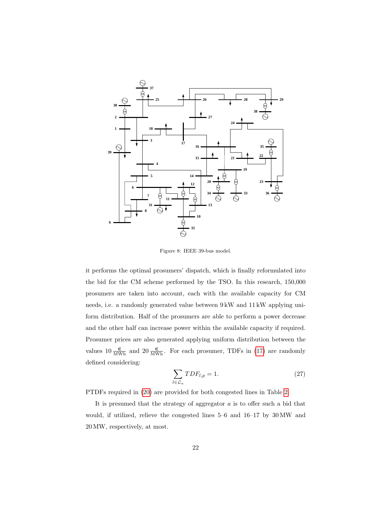

<span id="page-21-0"></span>Figure 8: IEEE 39-bus model.

it performs the optimal prosumers' dispatch, which is finally reformulated into the bid for the CM scheme performed by the TSO. In this research, 150,000 prosumers are taken into account, each with the available capacity for CM needs, i.e. a randomly generated value between 9 kW and 11 kW applying uniform distribution. Half of the prosumers are able to perform a power decrease and the other half can increase power within the available capacity if required. Prosumer prices are also generated applying uniform distribution between the values  $10 \frac{\epsilon}{\text{MWh}}$  and  $20 \frac{\epsilon}{\text{MWh}}$ . For each prosumer, TDFs in [\(17\)](#page-15-2) are randomly defined considering:

$$
\sum_{l \in \mathcal{L}_a} TDF_{l,p} = 1. \tag{27}
$$

PTDFs required in [\(20\)](#page-16-1) are provided for both congested lines in Table [2.](#page-20-1)

It is presumed that the strategy of aggregator  $a$  is to offer such a bid that would, if utilized, relieve the congested lines 5–6 and 16–17 by 30 MW and 20 MW, respectively, at most.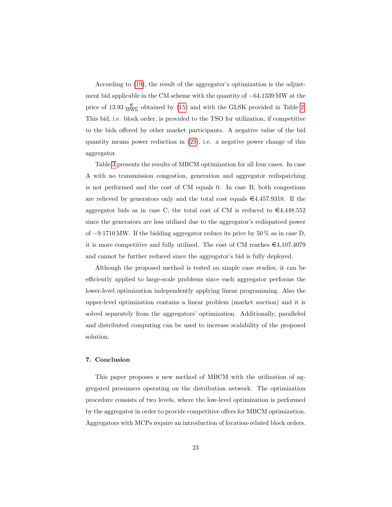According to [\(19\)](#page-16-2), the result of the aggregator's optimization is the adjustment bid applicable in the CM scheme with the quantity of −64.1339 MW at the price of 13.93  $\frac{\epsilon}{\text{MWh}}$  obtained by [\(15\)](#page-15-3) and with the GLSK provided in Table [2.](#page-20-1) This bid, i.e. block order, is provided to the TSO for utilization, if competitive to the bids offered by other market participants. A negative value of the bid quantity means power reduction in [\(23\)](#page-17-1), i.e. a negative power change of this aggregator.

Table [3](#page-23-0) presents the results of MBCM optimization for all four cases. In case A with no transmission congestion, generation and aggregator redispatching is not performed and the cost of CM equals 0. In case B, both congestions are relieved by generators only and the total cost equals  $\epsilon$ 4,457.9318. If the aggregator bids as in case C, the total cost of CM is reduced to  $\epsilon$ 4,448.552 since the generators are less utilized due to the aggregator's redispatced power of  $-9.1710 \text{ MW}$ . If the bidding aggregator reduce its price by 50 % as in case D, it is more competitive and fully utilized. The cost of CM reaches  $\epsilon$ 4,107.4079 and cannot be further reduced since the aggregator's bid is fully deployed.

Although the proposed method is tested on simple case studies, it can be efficiently applied to large-scale problems since each aggregator performs the lower-level optimization independently applying linear programming. Also the upper-level optimization contains a linear problem (market auction) and it is solved separately from the aggregators' optimization. Additionally, paralleled and distributed computing can be used to increase scalability of the proposed solution.

#### <span id="page-22-0"></span>7. Conclusion

This paper proposes a new method of MBCM with the utilization of aggregated prosumers operating on the distribution network. The optimization procedure consists of two levels, where the low-level optimization is performed by the aggregator in order to provide competitive offers for MBCM optimization. Aggregators with MCPs require an introduction of location-related block orders.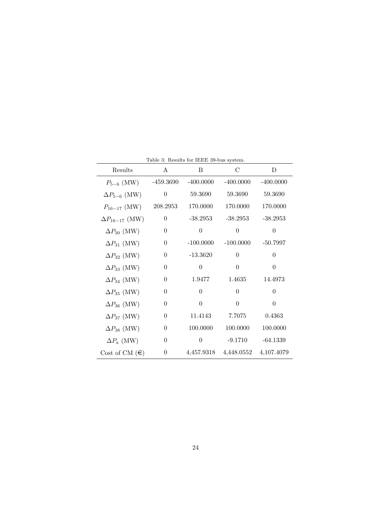| Results                 | A                | B           | C              | D              |
|-------------------------|------------------|-------------|----------------|----------------|
| $P_{5-6}$ (MW)          | $-459.3690$      | $-400.0000$ | $-400.0000$    | $-400.0000$    |
| $\Delta P_{5-6}$ (MW)   | $\theta$         | 59.3690     | 59.3690        | 59.3690        |
| $P_{16-17}$ (MW)        | 208.2953         | 170.0000    | 170.0000       | 170.0000       |
| $\Delta P_{16-17}$ (MW) | $\theta$         | $-38.2953$  | $-38.2953$     | $-38.2953$     |
| $\Delta P_{30}$ (MW)    | $\theta$         | $\theta$    | $\overline{0}$ | $\overline{0}$ |
| $\Delta P_{31}$ (MW)    | $\theta$         | $-100.0000$ | $-100.0000$    | $-50.7997$     |
| $\Delta P_{32}$ (MW)    | $\boldsymbol{0}$ | $-13.3620$  | $\theta$       | $\theta$       |
| $\Delta P_{33}$ (MW)    | $\theta$         | $\theta$    | $\theta$       | $\overline{0}$ |
| $\Delta P_{34}$ (MW)    | $\theta$         | 1.9477      | 1.4635         | 14.4973        |
| $\Delta P_{35}$ (MW)    | $\boldsymbol{0}$ | $\theta$    | $\theta$       | $\theta$       |
| $\Delta P_{36}$ (MW)    | $\theta$         | $\theta$    | $\theta$       | $\overline{0}$ |
| $\Delta P_{37}$ (MW)    | $\theta$         | 11.4143     | 7.7075         | 0.4363         |
| $\Delta P_{38}$ (MW)    | $\overline{0}$   | 100.0000    | 100.0000       | 100.0000       |
| $\Delta P_a$ (MW)       | $\theta$         | $\theta$    | $-9.1710$      | $-64.1339$     |
| Cost of CM $(\epsilon)$ | $\theta$         | 4,457.9318  | 4,448.0552     | 4,107.4079     |

<span id="page-23-0"></span>Table 3: Results for IEEE 39-bus system.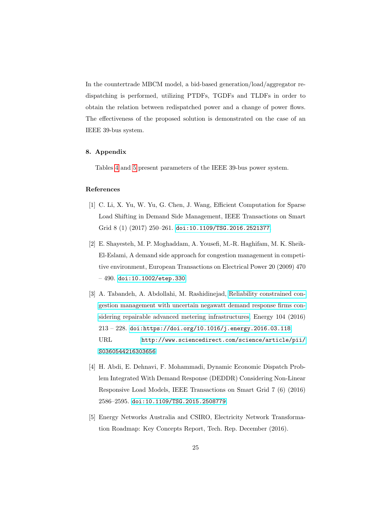In the countertrade MBCM model, a bid-based generation/load/aggregator redispatching is performed, utilizing PTDFs, TGDFs and TLDFs in order to obtain the relation between redispatched power and a change of power flows. The effectiveness of the proposed solution is demonstrated on the case of an IEEE 39-bus system.

#### <span id="page-24-5"></span>8. Appendix

Tables [4](#page-25-0) and [5](#page-26-0) present parameters of the IEEE 39-bus power system.

#### References

- <span id="page-24-0"></span>[1] C. Li, X. Yu, W. Yu, G. Chen, J. Wang, Efficient Computation for Sparse Load Shifting in Demand Side Management, IEEE Transactions on Smart Grid 8 (1) (2017) 250–261. [doi:10.1109/TSG.2016.2521377](http://dx.doi.org/10.1109/TSG.2016.2521377).
- <span id="page-24-1"></span>[2] E. Shayesteh, M. P. Moghaddam, A. Yousefi, M.-R. Haghifam, M. K. Sheik-El-Eslami, A demand side approach for congestion management in competitive environment, European Transactions on Electrical Power 20 (2009) 470 – 490. [doi:10.1002/etep.330](http://dx.doi.org/10.1002/etep.330).
- <span id="page-24-2"></span>[3] A. Tabandeh, A. Abdollahi, M. Rashidinejad, [Reliability constrained con](http://www.sciencedirect.com/science/article/pii/S0360544216303656)[gestion management with uncertain negawatt demand response firms con](http://www.sciencedirect.com/science/article/pii/S0360544216303656)[sidering repairable advanced metering infrastructures,](http://www.sciencedirect.com/science/article/pii/S0360544216303656) Energy 104 (2016) 213 – 228. [doi:https://doi.org/10.1016/j.energy.2016.03.118](http://dx.doi.org/https://doi.org/10.1016/j.energy.2016.03.118). URL [http://www.sciencedirect.com/science/article/pii/](http://www.sciencedirect.com/science/article/pii/S0360544216303656) [S0360544216303656](http://www.sciencedirect.com/science/article/pii/S0360544216303656)
- <span id="page-24-3"></span>[4] H. Abdi, E. Dehnavi, F. Mohammadi, Dynamic Economic Dispatch Problem Integrated With Demand Response (DEDDR) Considering Non-Linear Responsive Load Models, IEEE Transactions on Smart Grid 7 (6) (2016) 2586–2595. [doi:10.1109/TSG.2015.2508779](http://dx.doi.org/10.1109/TSG.2015.2508779).
- <span id="page-24-4"></span>[5] Energy Networks Australia and CSIRO, Electricity Network Transformation Roadmap: Key Concepts Report, Tech. Rep. December (2016).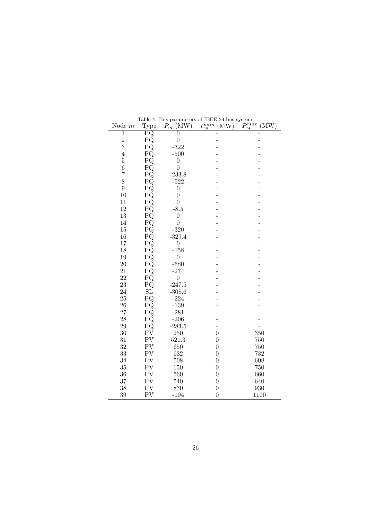| Node $m$       | таріс 4.<br>Type         | Dus parameters of<br>$\overline{P}_m$<br>(MW) | تتتبت<br>ob-dus system.<br>$P_m^{min}$<br>$\overline{\text{MW}}$ | $P_{\ldots}^{max}$<br>$\overline{\mathrm{MW}}$ |
|----------------|--------------------------|-----------------------------------------------|------------------------------------------------------------------|------------------------------------------------|
| $\overline{1}$ | $\overline{\mathrm{PQ}}$ | $\overline{0}$                                |                                                                  |                                                |
|                | PQ                       | $\overline{0}$                                |                                                                  |                                                |
| $\frac{2}{3}$  | PQ                       | $-322$                                        |                                                                  |                                                |
| $\overline{4}$ | PQ                       | $-500$                                        |                                                                  |                                                |
| $\overline{5}$ | PQ                       | $\boldsymbol{0}$                              |                                                                  |                                                |
| 6              | PQ                       | $\overline{0}$                                |                                                                  |                                                |
| $\overline{7}$ | PQ                       | $-233.8$                                      |                                                                  |                                                |
| 8              | PQ                       | $-522$                                        |                                                                  |                                                |
| 9              | PQ                       | $\overline{0}$                                |                                                                  |                                                |
| 10             | PQ                       | $\overline{0}$                                |                                                                  |                                                |
| 11             | PQ                       | $\overline{0}$                                |                                                                  |                                                |
| 12             | PQ                       | $-8.5$                                        |                                                                  |                                                |
| 13             | PQ                       | $\overline{0}$                                |                                                                  |                                                |
| 14             | PQ                       | $\boldsymbol{0}$                              |                                                                  |                                                |
| 15             | PQ                       | $-320$                                        |                                                                  |                                                |
| 16             | PQ                       | $-329.4$                                      |                                                                  |                                                |
| 17             | PQ                       | $\overline{0}$                                |                                                                  |                                                |
| 18             | PQ                       | $-158$                                        |                                                                  |                                                |
| 19             | PQ                       | $\boldsymbol{0}$                              |                                                                  |                                                |
| $20\,$         | PQ                       | $-680$                                        |                                                                  |                                                |
| 21             | PQ                       | $-274$                                        |                                                                  |                                                |
| 22             | PQ                       | $\boldsymbol{0}$                              |                                                                  |                                                |
| 23             | PQ                       | $-247.5$                                      |                                                                  |                                                |
| 24             | SL                       | $-308.6$                                      |                                                                  |                                                |
| 25             | PQ                       | $-224$                                        |                                                                  |                                                |
| 26             | PQ                       | $-139$                                        |                                                                  |                                                |
| 27             | PQ                       | $-281$                                        |                                                                  |                                                |
| 28             | PQ                       | $-206$                                        |                                                                  |                                                |
| 29             | PQ                       | $-283.5$                                      |                                                                  |                                                |
| 30             | PV                       | $250\,$                                       | $\boldsymbol{0}$                                                 | 350                                            |
| 31             | PV                       | 521.3                                         | $\overline{0}$                                                   | 750                                            |
| 32             | PV                       | 650                                           | $\boldsymbol{0}$                                                 | 750                                            |
| 33             | PV                       | 632                                           | $\boldsymbol{0}$                                                 | 732                                            |
| 34             | PV                       | 508                                           | $\boldsymbol{0}$                                                 | 608                                            |
| 35             | PV                       | 650                                           | $\overline{0}$                                                   | 750                                            |
| 36             | PV                       | 560                                           | $\boldsymbol{0}$                                                 | 660                                            |
| 37             | PV                       | 540                                           | $\boldsymbol{0}$                                                 | 640                                            |
| 38             | PV                       | 830                                           | $\boldsymbol{0}$                                                 | 930                                            |
| 39             | PV                       | $-104$                                        | $\overline{0}$                                                   | 1100                                           |

<span id="page-25-0"></span>Table 4: Bus parameters of IEEE 39-bus system.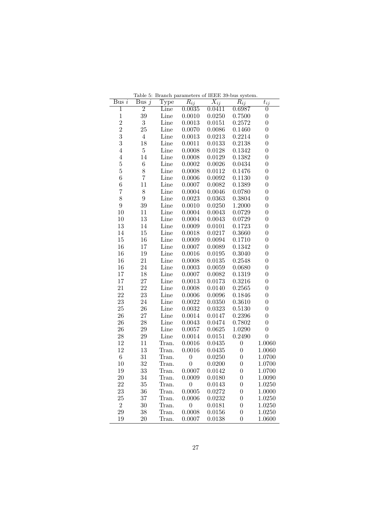| Bus $i$                 | Bus $j$        | Type  | $R_{ij}$         | $X_{ij}$ | $R_{ij}$         | $t_{ij}$         |
|-------------------------|----------------|-------|------------------|----------|------------------|------------------|
| $\overline{1}$          | $\overline{2}$ | Line  | 0.0035           | 0.0411   | 0.6987           | $\boldsymbol{0}$ |
| $\,1$                   | 39             | Line  | 0.0010           | 0.0250   | 0.7500           | $\overline{0}$   |
| $\overline{\mathbf{c}}$ | 3              | Line  | 0.0013           | 0.0151   | 0.2572           | $\overline{0}$   |
| $\overline{2}$          | 25             | Line  | 0.0070           | 0.0086   | 0.1460           | $\boldsymbol{0}$ |
| 3                       | $\overline{4}$ | Line  | 0.0013           | 0.0213   | 0.2214           | $\overline{0}$   |
| 3                       | 18             | Line  | 0.0011           | 0.0133   | 0.2138           | $\boldsymbol{0}$ |
| $\overline{4}$          | $\overline{5}$ | Line  | 0.0008           | 0.0128   | 0.1342           | $\boldsymbol{0}$ |
| $\overline{4}$          | 14             | Line  | 0.0008           | 0.0129   | 0.1382           | $\overline{0}$   |
| $\overline{5}$          | $\,6$          | Line  | 0.0002           | 0.0026   | 0.0434           | $\overline{0}$   |
| $\overline{5}$          | 8              | Line  | 0.0008           | 0.0112   | 0.1476           | $\boldsymbol{0}$ |
| 6                       | $\overline{7}$ | Line  | 0.0006           | 0.0092   | 0.1130           | 0                |
| 6                       | 11             | Line  | 0.0007           | 0.0082   | 0.1389           | $\overline{0}$   |
| 7                       | 8              | Line  | 0.0004           | 0.0046   | 0.0780           | $\boldsymbol{0}$ |
| 8                       | 9              | Line  | 0.0023           | 0.0363   | 0.3804           | $\overline{0}$   |
| $\overline{9}$          | 39             | Line  | 0.0010           | 0.0250   | 1.2000           | $\overline{0}$   |
| 10                      | 11             | Line  | 0.0004           | 0.0043   | 0.0729           | $\boldsymbol{0}$ |
| 10                      | 13             | Line  | 0.0004           | 0.0043   | 0.0729           | $\overline{0}$   |
| 13                      | 14             | Line  | 0.0009           | 0.0101   | 0.1723           | $\overline{0}$   |
| 14                      | 15             | Line  | 0.0018           | 0.0217   | 0.3660           | $\boldsymbol{0}$ |
| 15                      | 16             | Line  | 0.0009           | 0.0094   | 0.1710           | $\overline{0}$   |
| 16                      | 17             | Line  | 0.0007           | 0.0089   | 0.1342           | $\overline{0}$   |
| 16                      | 19             | Line  | 0.0016           | 0.0195   | 0.3040           | $\boldsymbol{0}$ |
| 16                      | 21             | Line  | 0.0008           | 0.0135   | 0.2548           | 0                |
| 16                      | 24             | Line  | 0.0003           | 0.0059   | 0.0680           | $\overline{0}$   |
| 17                      | 18             | Line  | 0.0007           | 0.0082   | 0.1319           | $\overline{0}$   |
| 17                      | 27             | Line  | 0.0013           | 0.0173   | 0.3216           | 0                |
| 21                      | 22             | Line  | 0.0008           | 0.0140   | 0.2565           | $\overline{0}$   |
| 22                      | 23             | Line  | 0.0006           | 0.0096   | 0.1846           | 0                |
| 23                      | 24             | Line  | 0.0022           | 0.0350   | 0.3610           | $\overline{0}$   |
| 25                      | 26             | Line  | 0.0032           | 0.0323   | 0.5130           | $\overline{0}$   |
| 26                      | 27             | Line  | 0.0014           | 0.0147   | 0.2396           | 0                |
| 26                      | 28             | Line  | 0.0043           | 0.0474   | 0.7802           | $\overline{0}$   |
| 26                      | 29             | Line  | 0.0057           | 0.0625   | 1.0290           | $\boldsymbol{0}$ |
| 28                      | 29             | Line  | 0.0014           | 0.0151   | 0.2490           | $\overline{0}$   |
| 12                      | 11             | Tran. | 0.0016           | 0.0435   | $\boldsymbol{0}$ | 1.0060           |
| 12                      | 13             | Tran. | 0.0016           | 0.0435   | $\overline{0}$   | 1.0060           |
| $\,6$                   | 31             | Tran. | $\boldsymbol{0}$ | 0.0250   | $\boldsymbol{0}$ | 1.0700           |
| 10                      | 32             | Tran. | $\boldsymbol{0}$ | 0.0200   | $\overline{0}$   | 1.0700           |
| 19                      | 33             | Tran. | 0.0007           | 0.0142   | $\overline{0}$   | 1.0700           |
| 20                      | 34             | Tran. | 0.0009           | 0.0180   | $\boldsymbol{0}$ | 1.0090           |
| 22                      | 35             | Tran. | $\boldsymbol{0}$ | 0.0143   | $\overline{0}$   | 1.0250           |
| 23                      | 36             | Tran. | 0.0005           | 0.0272   | $\overline{0}$   | 1.0000           |
| 25                      | 37             | Tran. | 0.0006           | 0.0232   | $\boldsymbol{0}$ | 1.0250           |
| $\overline{2}$          | 30             | Tran. | $\boldsymbol{0}$ | 0.0181   | $\overline{0}$   | 1.0250           |
| 29                      | 38             | Tran. | 0.0008           | 0.0156   | $\overline{0}$   | 1.0250           |
| 19                      | $20\,$         | Tran. | 0.0007           | 0.0138   | 0                | 1.0600           |

<span id="page-26-0"></span>Table 5: Branch parameters of IEEE 39-bus system.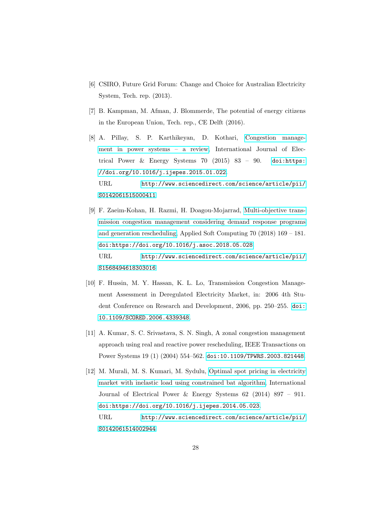- <span id="page-27-0"></span>[6] CSIRO, Future Grid Forum: Change and Choice for Australian Electricity System, Tech. rep. (2013).
- <span id="page-27-1"></span>[7] B. Kampman, M. Afman, J. Blommerde, The potential of energy citizens in the European Union, Tech. rep., CE Delft (2016).
- <span id="page-27-2"></span>[8] A. Pillay, S. P. Karthikeyan, D. Kothari, [Congestion manage](http://www.sciencedirect.com/science/article/pii/S0142061515000411)[ment in power systems – a review,](http://www.sciencedirect.com/science/article/pii/S0142061515000411) International Journal of Electrical Power & Energy Systems 70 (2015) 83 – 90. [doi:https:](http://dx.doi.org/https://doi.org/10.1016/j.ijepes.2015.01.022) [//doi.org/10.1016/j.ijepes.2015.01.022](http://dx.doi.org/https://doi.org/10.1016/j.ijepes.2015.01.022). URL [http://www.sciencedirect.com/science/article/pii/](http://www.sciencedirect.com/science/article/pii/S0142061515000411) [S0142061515000411](http://www.sciencedirect.com/science/article/pii/S0142061515000411)
- <span id="page-27-3"></span>[9] F. Zaeim-Kohan, H. Razmi, H. Doagou-Mojarrad, [Multi-objective trans](http://www.sciencedirect.com/science/article/pii/S1568494618303016)[mission congestion management considering demand response programs](http://www.sciencedirect.com/science/article/pii/S1568494618303016) [and generation rescheduling,](http://www.sciencedirect.com/science/article/pii/S1568494618303016) Applied Soft Computing 70 (2018) 169 – 181. [doi:https://doi.org/10.1016/j.asoc.2018.05.028](http://dx.doi.org/https://doi.org/10.1016/j.asoc.2018.05.028). URL [http://www.sciencedirect.com/science/article/pii/](http://www.sciencedirect.com/science/article/pii/S1568494618303016) [S1568494618303016](http://www.sciencedirect.com/science/article/pii/S1568494618303016)
- <span id="page-27-4"></span>[10] F. Hussin, M. Y. Hassan, K. L. Lo, Transmission Congestion Management Assessment in Deregulated Electricity Market, in: 2006 4th Student Conference on Research and Development, 2006, pp. 250–255. [doi:](http://dx.doi.org/10.1109/SCORED.2006.4339348) [10.1109/SCORED.2006.4339348](http://dx.doi.org/10.1109/SCORED.2006.4339348).
- <span id="page-27-5"></span>[11] A. Kumar, S. C. Srivastava, S. N. Singh, A zonal congestion management approach using real and reactive power rescheduling, IEEE Transactions on Power Systems 19 (1) (2004) 554–562. [doi:10.1109/TPWRS.2003.821448](http://dx.doi.org/10.1109/TPWRS.2003.821448).
- <span id="page-27-6"></span>[12] M. Murali, M. S. Kumari, M. Sydulu, [Optimal spot pricing in electricity](http://www.sciencedirect.com/science/article/pii/S0142061514002944) [market with inelastic load using constrained bat algorithm,](http://www.sciencedirect.com/science/article/pii/S0142061514002944) International Journal of Electrical Power & Energy Systems 62 (2014) 897 – 911. [doi:https://doi.org/10.1016/j.ijepes.2014.05.023](http://dx.doi.org/https://doi.org/10.1016/j.ijepes.2014.05.023).

URL [http://www.sciencedirect.com/science/article/pii/](http://www.sciencedirect.com/science/article/pii/S0142061514002944) [S0142061514002944](http://www.sciencedirect.com/science/article/pii/S0142061514002944)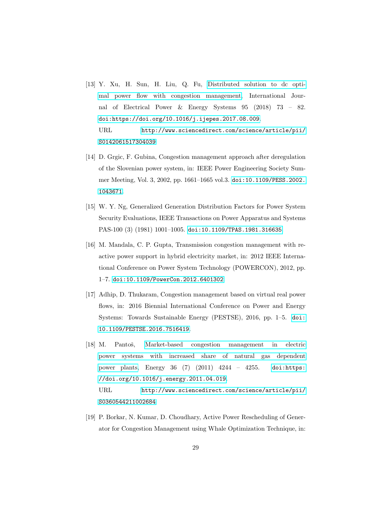- <span id="page-28-0"></span>[13] Y. Xu, H. Sun, H. Liu, Q. Fu, [Distributed solution to dc opti](http://www.sciencedirect.com/science/article/pii/S0142061517304039)[mal power flow with congestion management,](http://www.sciencedirect.com/science/article/pii/S0142061517304039) International Journal of Electrical Power & Energy Systems 95 (2018) 73 – 82. [doi:https://doi.org/10.1016/j.ijepes.2017.08.009](http://dx.doi.org/https://doi.org/10.1016/j.ijepes.2017.08.009). URL [http://www.sciencedirect.com/science/article/pii/](http://www.sciencedirect.com/science/article/pii/S0142061517304039) [S0142061517304039](http://www.sciencedirect.com/science/article/pii/S0142061517304039)
- <span id="page-28-1"></span>[14] D. Grgic, F. Gubina, Congestion management approach after deregulation of the Slovenian power system, in: IEEE Power Engineering Society Summer Meeting, Vol. 3, 2002, pp. 1661–1665 vol.3. [doi:10.1109/PESS.2002.](http://dx.doi.org/10.1109/PESS.2002.1043671) [1043671](http://dx.doi.org/10.1109/PESS.2002.1043671).
- <span id="page-28-2"></span>[15] W. Y. Ng, Generalized Generation Distribution Factors for Power System Security Evaluations, IEEE Transactions on Power Apparatus and Systems PAS-100 (3) (1981) 1001–1005. [doi:10.1109/TPAS.1981.316635](http://dx.doi.org/10.1109/TPAS.1981.316635).
- <span id="page-28-3"></span>[16] M. Mandala, C. P. Gupta, Transmission congestion management with reactive power support in hybrid electricity market, in: 2012 IEEE International Conference on Power System Technology (POWERCON), 2012, pp. 1–7. [doi:10.1109/PowerCon.2012.6401302](http://dx.doi.org/10.1109/PowerCon.2012.6401302).
- <span id="page-28-4"></span>[17] Adhip, D. Thukaram, Congestion management based on virtual real power flows, in: 2016 Biennial International Conference on Power and Energy Systems: Towards Sustainable Energy (PESTSE), 2016, pp. 1–5. [doi:](http://dx.doi.org/10.1109/PESTSE.2016.7516419) [10.1109/PESTSE.2016.7516419](http://dx.doi.org/10.1109/PESTSE.2016.7516419).
- <span id="page-28-5"></span>[18] M. Pantoš, [Market-based congestion management in electric](http://www.sciencedirect.com/science/article/pii/S0360544211002684) [power systems with increased share of natural gas dependent](http://www.sciencedirect.com/science/article/pii/S0360544211002684) [power plants,](http://www.sciencedirect.com/science/article/pii/S0360544211002684) Energy 36 (7) (2011) 4244 – 4255. [doi:https:](http://dx.doi.org/https://doi.org/10.1016/j.energy.2011.04.019) [//doi.org/10.1016/j.energy.2011.04.019](http://dx.doi.org/https://doi.org/10.1016/j.energy.2011.04.019). URL [http://www.sciencedirect.com/science/article/pii/](http://www.sciencedirect.com/science/article/pii/S0360544211002684) [S0360544211002684](http://www.sciencedirect.com/science/article/pii/S0360544211002684)
- <span id="page-28-6"></span>[19] P. Borkar, N. Kumar, D. Choudhary, Active Power Rescheduling of Generator for Congestion Management using Whale Optimization Technique, in: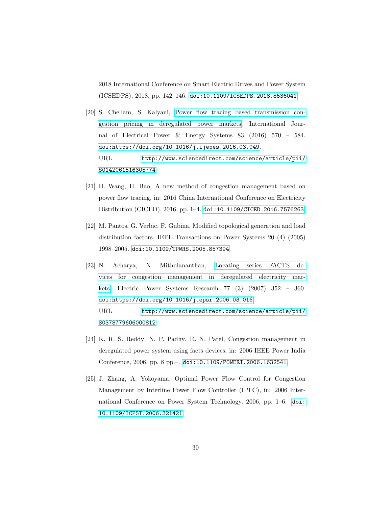2018 International Conference on Smart Electric Drives and Power System (ICSEDPS), 2018, pp. 142–146. [doi:10.1109/ICSEDPS.2018.8536041](http://dx.doi.org/10.1109/ICSEDPS.2018.8536041).

- <span id="page-29-0"></span>[20] S. Chellam, S. Kalyani, [Power flow tracing based transmission con](http://www.sciencedirect.com/science/article/pii/S0142061516305774)[gestion pricing in deregulated power markets,](http://www.sciencedirect.com/science/article/pii/S0142061516305774) International Journal of Electrical Power & Energy Systems 83 (2016) 570 – 584. [doi:https://doi.org/10.1016/j.ijepes.2016.03.049](http://dx.doi.org/https://doi.org/10.1016/j.ijepes.2016.03.049). URL [http://www.sciencedirect.com/science/article/pii/](http://www.sciencedirect.com/science/article/pii/S0142061516305774) [S0142061516305774](http://www.sciencedirect.com/science/article/pii/S0142061516305774)
- <span id="page-29-1"></span>[21] H. Wang, H. Bao, A new method of congestion management based on power flow tracing, in: 2016 China International Conference on Electricity Distribution (CICED), 2016, pp. 1–4. [doi:10.1109/CICED.2016.7576263](http://dx.doi.org/10.1109/CICED.2016.7576263).
- <span id="page-29-2"></span>[22] M. Pantos, G. Verbic, F. Gubina, Modified topological generation and load distribution factors, IEEE Transactions on Power Systems 20 (4) (2005) 1998–2005. [doi:10.1109/TPWRS.2005.857394](http://dx.doi.org/10.1109/TPWRS.2005.857394).
- <span id="page-29-3"></span>[23] N. Acharya, N. Mithulananthan, [Locating series FACTS de](http://www.sciencedirect.com/science/article/pii/S0378779606000812)[vices for congestion management in deregulated electricity mar](http://www.sciencedirect.com/science/article/pii/S0378779606000812)[kets,](http://www.sciencedirect.com/science/article/pii/S0378779606000812) Electric Power Systems Research 77 (3) (2007) 352 – 360. [doi:https://doi.org/10.1016/j.epsr.2006.03.016](http://dx.doi.org/https://doi.org/10.1016/j.epsr.2006.03.016). URL [http://www.sciencedirect.com/science/article/pii/](http://www.sciencedirect.com/science/article/pii/S0378779606000812) [S0378779606000812](http://www.sciencedirect.com/science/article/pii/S0378779606000812)
- <span id="page-29-4"></span>[24] K. R. S. Reddy, N. P. Padhy, R. N. Patel, Congestion management in deregulated power system using facts devices, in: 2006 IEEE Power India Conference, 2006, pp. 8 pp.–. [doi:10.1109/POWERI.2006.1632541](http://dx.doi.org/10.1109/POWERI.2006.1632541).
- <span id="page-29-5"></span>[25] J. Zhang, A. Yokoyama, Optimal Power Flow Control for Congestion Management by Interline Power Flow Controller (IPFC), in: 2006 International Conference on Power System Technology, 2006, pp. 1–6. [doi:](http://dx.doi.org/10.1109/ICPST.2006.321421) [10.1109/ICPST.2006.321421](http://dx.doi.org/10.1109/ICPST.2006.321421).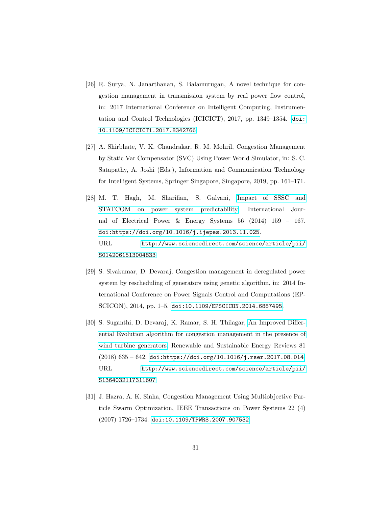- <span id="page-30-0"></span>[26] R. Surya, N. Janarthanan, S. Balamurugan, A novel technique for congestion management in transmission system by real power flow control, in: 2017 International Conference on Intelligent Computing, Instrumentation and Control Technologies (ICICICT), 2017, pp. 1349–1354. [doi:](http://dx.doi.org/10.1109/ICICICT1.2017.8342766) [10.1109/ICICICT1.2017.8342766](http://dx.doi.org/10.1109/ICICICT1.2017.8342766).
- <span id="page-30-1"></span>[27] A. Shirbhate, V. K. Chandrakar, R. M. Mohril, Congestion Management by Static Var Compensator (SVC) Using Power World Simulator, in: S. C. Satapathy, A. Joshi (Eds.), Information and Communication Technology for Intelligent Systems, Springer Singapore, Singapore, 2019, pp. 161–171.
- <span id="page-30-2"></span>[28] M. T. Hagh, M. Sharifian, S. Galvani, [Impact of SSSC and](http://www.sciencedirect.com/science/article/pii/S0142061513004833) [STATCOM on power system predictability,](http://www.sciencedirect.com/science/article/pii/S0142061513004833) International Journal of Electrical Power & Energy Systems 56 (2014) 159 – 167. [doi:https://doi.org/10.1016/j.ijepes.2013.11.025](http://dx.doi.org/https://doi.org/10.1016/j.ijepes.2013.11.025). URL [http://www.sciencedirect.com/science/article/pii/](http://www.sciencedirect.com/science/article/pii/S0142061513004833) [S0142061513004833](http://www.sciencedirect.com/science/article/pii/S0142061513004833)
- <span id="page-30-3"></span>[29] S. Sivakumar, D. Devaraj, Congestion management in deregulated power system by rescheduling of generators using genetic algorithm, in: 2014 International Conference on Power Signals Control and Computations (EP-SCICON), 2014, pp. 1–5. [doi:10.1109/EPSCICON.2014.6887495](http://dx.doi.org/10.1109/EPSCICON.2014.6887495).
- <span id="page-30-4"></span>[30] S. Suganthi, D. Devaraj, K. Ramar, S. H. Thilagar, [An Improved Differ](http://www.sciencedirect.com/science/article/pii/S1364032117311607)[ential Evolution algorithm for congestion management in the presence of](http://www.sciencedirect.com/science/article/pii/S1364032117311607) [wind turbine generators,](http://www.sciencedirect.com/science/article/pii/S1364032117311607) Renewable and Sustainable Energy Reviews 81 (2018) 635 – 642. [doi:https://doi.org/10.1016/j.rser.2017.08.014](http://dx.doi.org/https://doi.org/10.1016/j.rser.2017.08.014). URL [http://www.sciencedirect.com/science/article/pii/](http://www.sciencedirect.com/science/article/pii/S1364032117311607) [S1364032117311607](http://www.sciencedirect.com/science/article/pii/S1364032117311607)
- <span id="page-30-5"></span>[31] J. Hazra, A. K. Sinha, Congestion Management Using Multiobjective Particle Swarm Optimization, IEEE Transactions on Power Systems 22 (4) (2007) 1726–1734. [doi:10.1109/TPWRS.2007.907532](http://dx.doi.org/10.1109/TPWRS.2007.907532).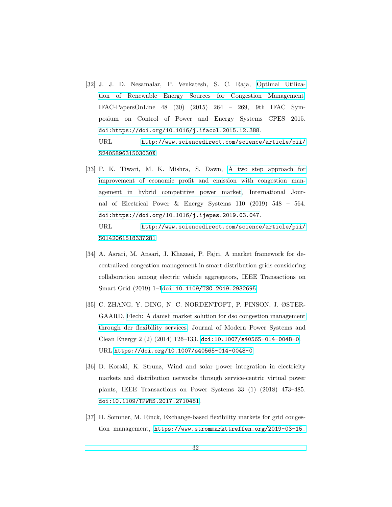- <span id="page-31-0"></span>[32] J. J. D. Nesamalar, P. Venkatesh, S. C. Raja, [Optimal Utiliza](http://www.sciencedirect.com/science/article/pii/S240589631503030X)[tion of Renewable Energy Sources for Congestion Management,](http://www.sciencedirect.com/science/article/pii/S240589631503030X) IFAC-PapersOnLine 48 (30) (2015) 264 – 269, 9th IFAC Symposium on Control of Power and Energy Systems CPES 2015. [doi:https://doi.org/10.1016/j.ifacol.2015.12.388](http://dx.doi.org/https://doi.org/10.1016/j.ifacol.2015.12.388). URL [http://www.sciencedirect.com/science/article/pii/](http://www.sciencedirect.com/science/article/pii/S240589631503030X) [S240589631503030X](http://www.sciencedirect.com/science/article/pii/S240589631503030X)
- <span id="page-31-1"></span>[33] P. K. Tiwari, M. K. Mishra, S. Dawn, [A two step approach for](http://www.sciencedirect.com/science/article/pii/S0142061518337281) [improvement of economic profit and emission with congestion man](http://www.sciencedirect.com/science/article/pii/S0142061518337281)[agement in hybrid competitive power market,](http://www.sciencedirect.com/science/article/pii/S0142061518337281) International Journal of Electrical Power & Energy Systems 110 (2019) 548 – 564. [doi:https://doi.org/10.1016/j.ijepes.2019.03.047](http://dx.doi.org/https://doi.org/10.1016/j.ijepes.2019.03.047). URL [http://www.sciencedirect.com/science/article/pii/](http://www.sciencedirect.com/science/article/pii/S0142061518337281) [S0142061518337281](http://www.sciencedirect.com/science/article/pii/S0142061518337281)
- <span id="page-31-2"></span>[34] A. Asrari, M. Ansari, J. Khazaei, P. Fajri, A market framework for decentralized congestion management in smart distribution grids considering collaboration among electric vehicle aggregators, IEEE Transactions on Smart Grid (2019) 1–1[doi:10.1109/TSG.2019.2932695](http://dx.doi.org/10.1109/TSG.2019.2932695).
- <span id="page-31-3"></span>[35] C. ZHANG, Y. DING, N. C. NORDENTOFT, P. PINSON, J. ØSTER-GAARD, [Flech: A danish market solution for dso congestion management](https://doi.org/10.1007/s40565-014-0048-0) [through der flexibility services,](https://doi.org/10.1007/s40565-014-0048-0) Journal of Modern Power Systems and Clean Energy 2 (2) (2014) 126–133. [doi:10.1007/s40565-014-0048-0](http://dx.doi.org/10.1007/s40565-014-0048-0). URL <https://doi.org/10.1007/s40565-014-0048-0>
- <span id="page-31-4"></span>[36] D. Koraki, K. Strunz, Wind and solar power integration in electricity markets and distribution networks through service-centric virtual power plants, IEEE Transactions on Power Systems 33 (1) (2018) 473–485. [doi:10.1109/TPWRS.2017.2710481](http://dx.doi.org/10.1109/TPWRS.2017.2710481).
- <span id="page-31-5"></span>[37] H. Sommer, M. Rinck, Exchange-based flexibility markets for grid congestion management, [https://www.strommarkttreffen.org/2019-03-15\\_](https://www.strommarkttreffen.org/2019-03-15_Sommer_Rinck_Exchange-based_flexibility_markets.pdf)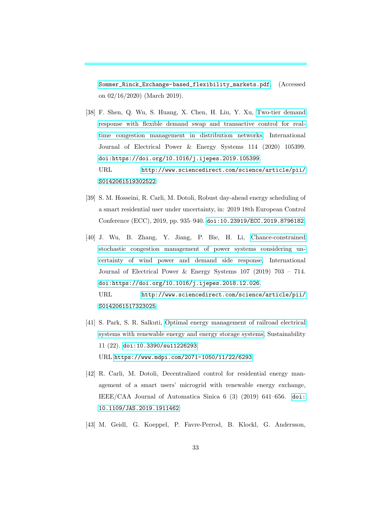[Sommer\\_Rinck\\_Exchange-based\\_flexibility\\_markets.pdf](https://www.strommarkttreffen.org/2019-03-15_Sommer_Rinck_Exchange-based_flexibility_markets.pdf), (Accessed on 02/16/2020) (March 2019).

- <span id="page-32-0"></span>[38] F. Shen, Q. Wu, S. Huang, X. Chen, H. Liu, Y. Xu, [Two-tier demand](http://www.sciencedirect.com/science/article/pii/S0142061519302522) [response with flexible demand swap and transactive control for real](http://www.sciencedirect.com/science/article/pii/S0142061519302522)[time congestion management in distribution networks,](http://www.sciencedirect.com/science/article/pii/S0142061519302522) International Journal of Electrical Power & Energy Systems 114 (2020) 105399. [doi:https://doi.org/10.1016/j.ijepes.2019.105399](http://dx.doi.org/https://doi.org/10.1016/j.ijepes.2019.105399). URL [http://www.sciencedirect.com/science/article/pii/](http://www.sciencedirect.com/science/article/pii/S0142061519302522) [S0142061519302522](http://www.sciencedirect.com/science/article/pii/S0142061519302522)
- <span id="page-32-1"></span>[39] S. M. Hosseini, R. Carli, M. Dotoli, Robust day-ahead energy scheduling of a smart residential user under uncertainty, in: 2019 18th European Control Conference (ECC), 2019, pp. 935–940. [doi:10.23919/ECC.2019.8796182](http://dx.doi.org/10.23919/ECC.2019.8796182).
- <span id="page-32-2"></span>[40] J. Wu, B. Zhang, Y. Jiang, P. Bie, H. Li, [Chance-constrained](http://www.sciencedirect.com/science/article/pii/S0142061517323025) [stochastic congestion management of power systems considering un](http://www.sciencedirect.com/science/article/pii/S0142061517323025)[certainty of wind power and demand side response,](http://www.sciencedirect.com/science/article/pii/S0142061517323025) International Journal of Electrical Power & Energy Systems 107 (2019) 703 – 714. [doi:https://doi.org/10.1016/j.ijepes.2018.12.026](http://dx.doi.org/https://doi.org/10.1016/j.ijepes.2018.12.026). URL [http://www.sciencedirect.com/science/article/pii/](http://www.sciencedirect.com/science/article/pii/S0142061517323025) [S0142061517323025](http://www.sciencedirect.com/science/article/pii/S0142061517323025)
- <span id="page-32-3"></span>[41] S. Park, S. R. Salkuti, [Optimal energy management of railroad electrical](https://www.mdpi.com/2071-1050/11/22/6293) [systems with renewable energy and energy storage systems,](https://www.mdpi.com/2071-1050/11/22/6293) Sustainability 11 (22). [doi:10.3390/su11226293](http://dx.doi.org/10.3390/su11226293). URL <https://www.mdpi.com/2071-1050/11/22/6293>
- <span id="page-32-4"></span>[42] R. Carli, M. Dotoli, Decentralized control for residential energy management of a smart users' microgrid with renewable energy exchange, IEEE/CAA Journal of Automatica Sinica 6 (3) (2019) 641–656. [doi:](http://dx.doi.org/10.1109/JAS.2019.1911462) [10.1109/JAS.2019.1911462](http://dx.doi.org/10.1109/JAS.2019.1911462).
- <span id="page-32-5"></span>[43] M. Geidl, G. Koeppel, P. Favre-Perrod, B. Klockl, G. Andersson,